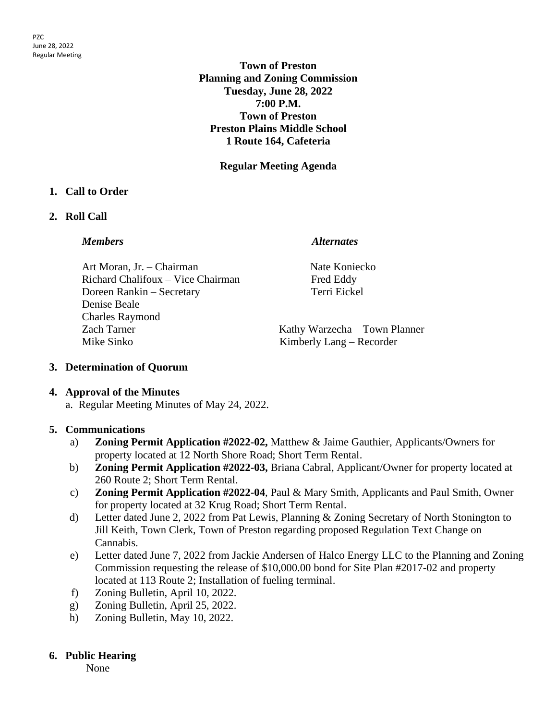**Town of Preston Planning and Zoning Commission Tuesday, June 28, 2022 7:00 P.M. Town of Preston Preston Plains Middle School 1 Route 164, Cafeteria**

**Regular Meeting Agenda**

# **1. Call to Order**

# **2. Roll Call**

### *Members Alternates*

Art Moran, Jr. – Chairman Nate Koniecko Richard Chalifoux – Vice Chairman Fred Eddy Doreen Rankin – Secretary Terri Eickel Denise Beale Charles Raymond Zach Tarner Kathy Warzecha – Town Planner Mike Sinko Kimberly Lang – Recorder

# **3. Determination of Quorum**

# **4. Approval of the Minutes**

a. Regular Meeting Minutes of May 24, 2022.

# **5. Communications**

- a) **Zoning Permit Application #2022-02,** Matthew & Jaime Gauthier, Applicants/Owners for property located at 12 North Shore Road; Short Term Rental.
- b) **Zoning Permit Application #2022-03,** Briana Cabral, Applicant/Owner for property located at 260 Route 2; Short Term Rental.
- c) **Zoning Permit Application #2022-04**, Paul & Mary Smith, Applicants and Paul Smith, Owner for property located at 32 Krug Road; Short Term Rental.
- d) Letter dated June 2, 2022 from Pat Lewis, Planning & Zoning Secretary of North Stonington to Jill Keith, Town Clerk, Town of Preston regarding proposed Regulation Text Change on Cannabis.
- e) Letter dated June 7, 2022 from Jackie Andersen of Halco Energy LLC to the Planning and Zoning Commission requesting the release of \$10,000.00 bond for Site Plan #2017-02 and property located at 113 Route 2; Installation of fueling terminal.
- f) Zoning Bulletin, April 10, 2022.
- g) Zoning Bulletin, April 25, 2022.
- h) Zoning Bulletin, May 10, 2022.

# **6. Public Hearing**

None